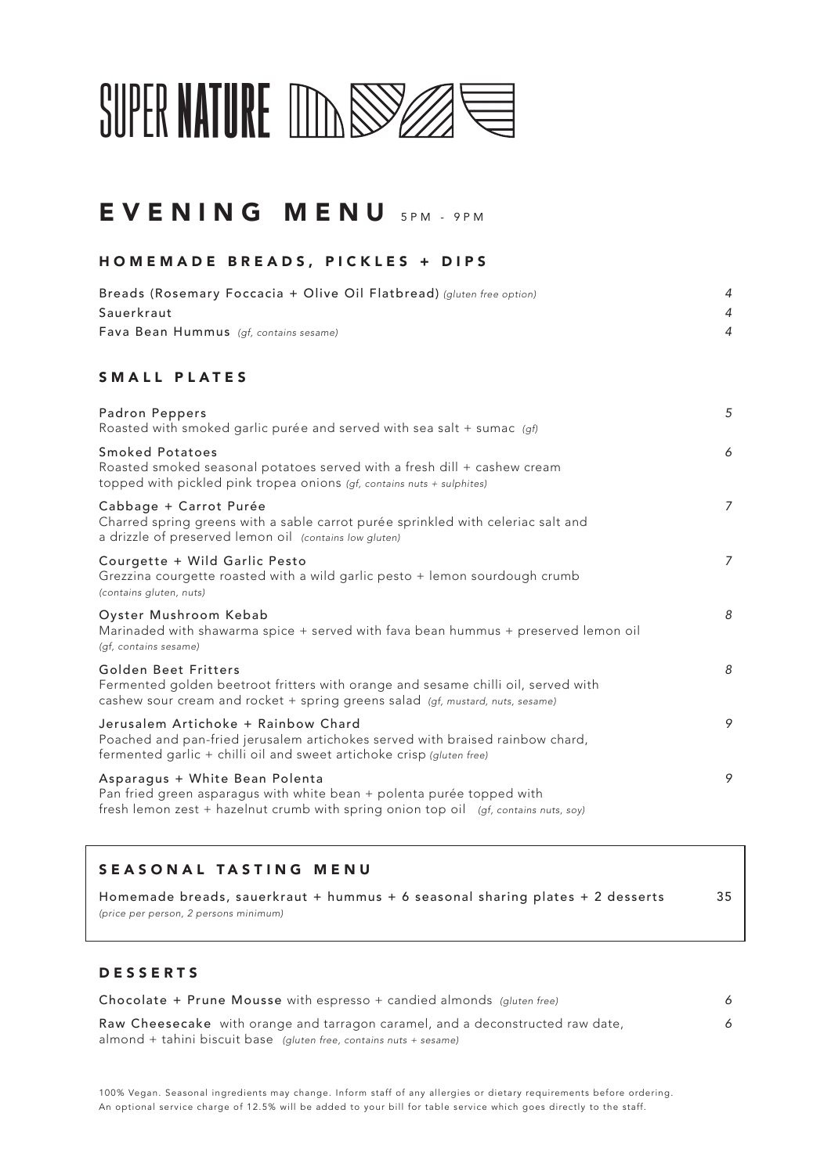

## EVENING MENU SPM - 9PM

#### HOMEMADE BREADS, PICKLES + DIPS

| Breads (Rosemary Foccacia + Olive Oil Flatbread) (gluten free option) |  |
|-----------------------------------------------------------------------|--|
| Sauerkraut                                                            |  |
| Fava Bean Hummus (qf, contains sesame)                                |  |

#### SMALL PLATES

| Padron Peppers<br>Roasted with smoked garlic purée and served with sea salt + sumac (gf)                                                                                                        | 5              |
|-------------------------------------------------------------------------------------------------------------------------------------------------------------------------------------------------|----------------|
| Smoked Potatoes<br>Roasted smoked seasonal potatoes served with a fresh dill + cashew cream<br>topped with pickled pink tropea onions (gf, contains nuts + sulphites)                           | 6              |
| Cabbage + Carrot Purée<br>Charred spring greens with a sable carrot purée sprinkled with celeriac salt and<br>a drizzle of preserved lemon oil (contains low gluten)                            | $\overline{7}$ |
| Courgette + Wild Garlic Pesto<br>Grezzina courgette roasted with a wild garlic pesto + lemon sourdough crumb<br>(contains gluten, nuts)                                                         | $\overline{7}$ |
| Oyster Mushroom Kebab<br>Marinaded with shawarma spice + served with fava bean hummus + preserved lemon oil<br>(gf, contains sesame)                                                            | 8              |
| Golden Beet Fritters<br>Fermented golden beetroot fritters with orange and sesame chilli oil, served with<br>cashew sour cream and rocket + spring greens salad (gf, mustard, nuts, sesame)     | 8              |
| Jerusalem Artichoke + Rainbow Chard<br>Poached and pan-fried jerusalem artichokes served with braised rainbow chard,<br>fermented garlic + chilli oil and sweet artichoke crisp (gluten free)   | 9              |
| Asparagus + White Bean Polenta<br>Pan fried green asparagus with white bean + polenta purée topped with<br>fresh lemon zest + hazelnut crumb with spring onion top oil (gf, contains nuts, soy) | 9              |

#### SEASONAL TASTING MENU

Homemade breads, sauerkraut + hummus + 6 seasonal sharing plates + 2 desserts 35 *(price per person, 2 persons minimum)* 

### DESSERTS

| Chocolate + Prune Mousse with espresso + candied almonds (gluten free)         |  |
|--------------------------------------------------------------------------------|--|
| Raw Cheesecake with orange and tarragon caramel, and a deconstructed raw date, |  |
| almond + tahini biscuit base (gluten free, contains nuts + sesame)             |  |

100% Vegan. Seasonal ingredients may change. Inform staff of any allergies or dietary requirements before ordering. An optional service charge of 12.5% will be added to your bill for table service which goes directly to the staff.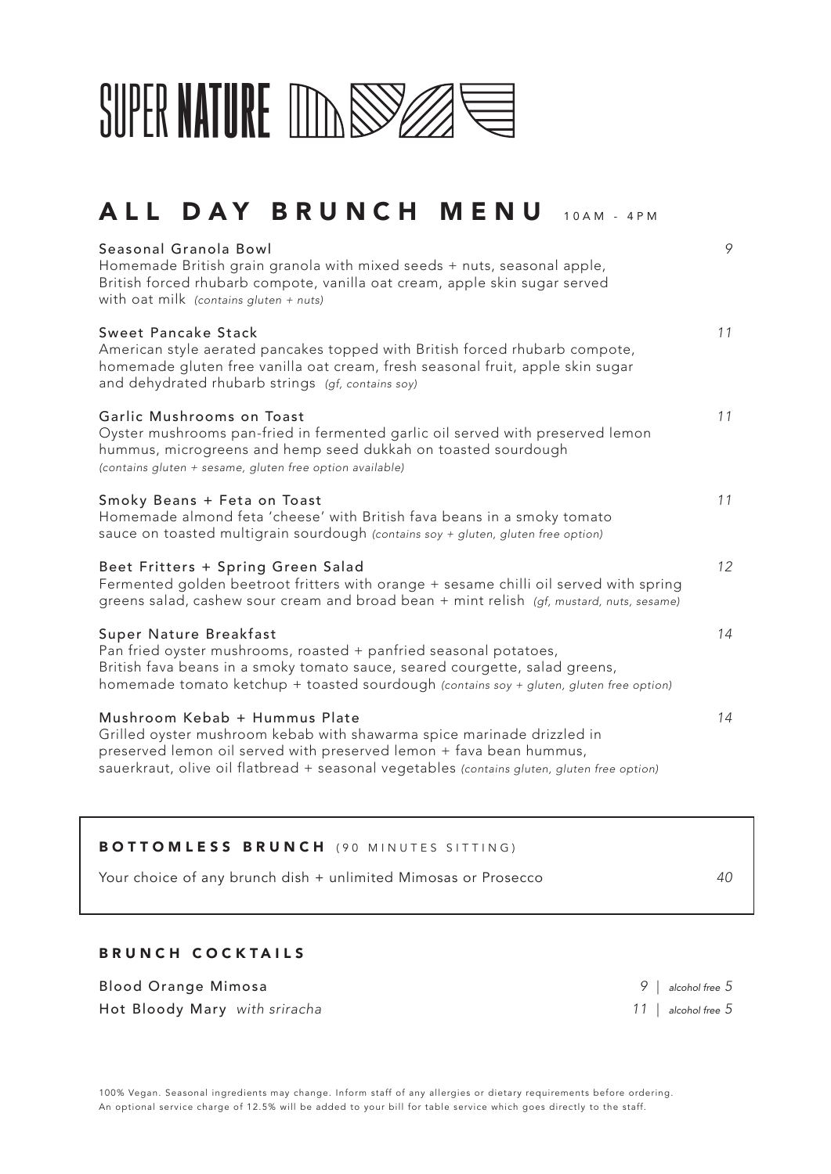

## ALL DAY BRUNCH MENU 10AM - 4PM

| Seasonal Granola Bowl<br>Homemade British grain granola with mixed seeds + nuts, seasonal apple,<br>British forced rhubarb compote, vanilla oat cream, apple skin sugar served<br>with oat milk (contains gluten + nuts)                                                      | 9  |
|-------------------------------------------------------------------------------------------------------------------------------------------------------------------------------------------------------------------------------------------------------------------------------|----|
| <b>Sweet Pancake Stack</b><br>American style aerated pancakes topped with British forced rhubarb compote,<br>homemade gluten free vanilla oat cream, fresh seasonal fruit, apple skin sugar<br>and dehydrated rhubarb strings (gf, contains soy)                              | 11 |
| Garlic Mushrooms on Toast<br>Oyster mushrooms pan-fried in fermented garlic oil served with preserved lemon<br>hummus, microgreens and hemp seed dukkah on toasted sourdough<br>(contains gluten + sesame, gluten free option available)                                      | 11 |
| Smoky Beans + Feta on Toast<br>Homemade almond feta 'cheese' with British fava beans in a smoky tomato<br>sauce on toasted multigrain sourdough (contains soy + gluten, gluten free option)                                                                                   | 11 |
| Beet Fritters + Spring Green Salad<br>Fermented golden beetroot fritters with orange + sesame chilli oil served with spring<br>greens salad, cashew sour cream and broad bean + mint relish (gf, mustard, nuts, sesame)                                                       | 12 |
| Super Nature Breakfast<br>Pan fried oyster mushrooms, roasted + panfried seasonal potatoes,<br>British fava beans in a smoky tomato sauce, seared courgette, salad greens,<br>homemade tomato ketchup + toasted sourdough (contains soy + gluten, gluten free option)         | 14 |
| Mushroom Kebab + Hummus Plate<br>Grilled oyster mushroom kebab with shawarma spice marinade drizzled in<br>preserved lemon oil served with preserved lemon + fava bean hummus,<br>sauerkraut, olive oil flatbread + seasonal vegetables (contains gluten, gluten free option) | 14 |

| <b>BOTTOMLESS BRUNCH</b> (90 MINUTES SITTING)                  |    |
|----------------------------------------------------------------|----|
| Your choice of any brunch dish + unlimited Mimosas or Prosecco | 40 |

### BRUNCH COCKTAILS

Blood Orange Mimosa *9* | *alcohol free 5* Hot Bloody Mary *with sriracha 11* | *alcohol free 5*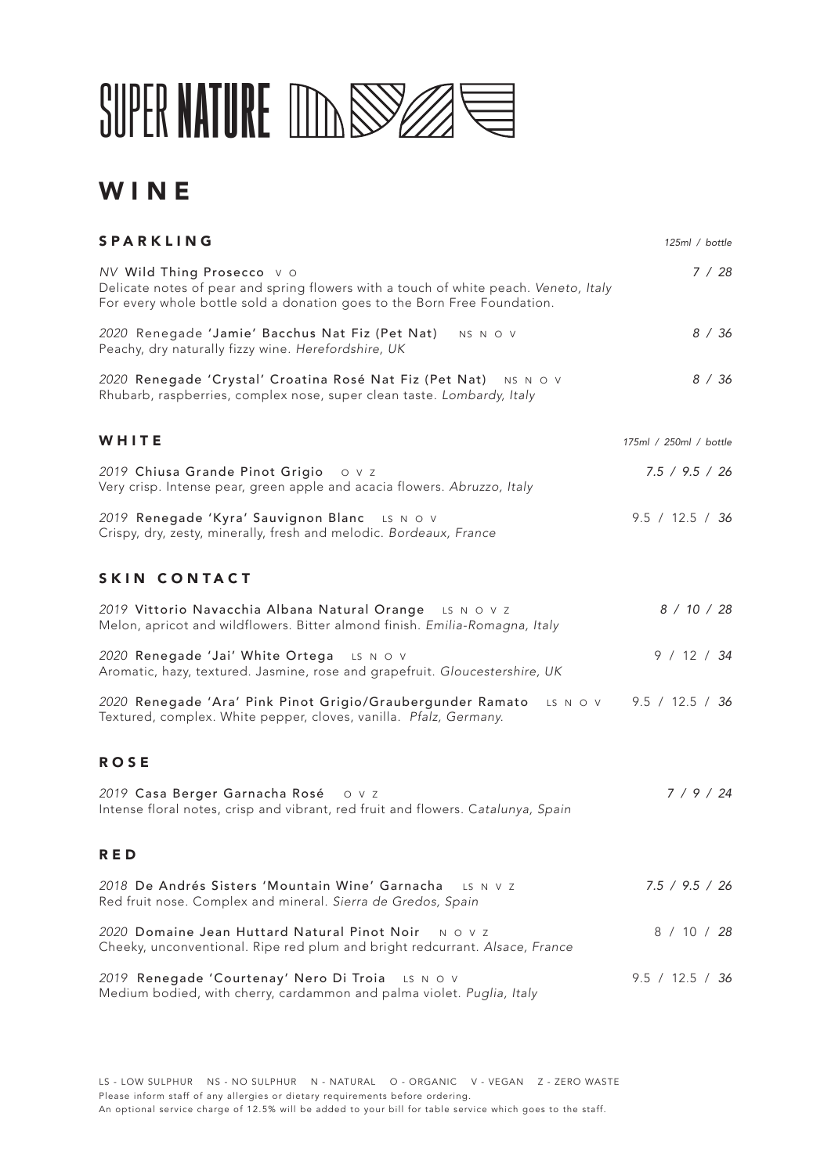

### **WINE**

| <b>SPARKLING</b>                                                                                                                                                                              | 125ml / bottle         |
|-----------------------------------------------------------------------------------------------------------------------------------------------------------------------------------------------|------------------------|
| NV Wild Thing Prosecco vo<br>Delicate notes of pear and spring flowers with a touch of white peach. Veneto, Italy<br>For every whole bottle sold a donation goes to the Born Free Foundation. | 7/28                   |
| 2020 Renegade 'Jamie' Bacchus Nat Fiz (Pet Nat)<br>NS N O V<br>Peachy, dry naturally fizzy wine. Herefordshire, UK                                                                            | 8/36                   |
| 2020 Renegade 'Crystal' Croatina Rosé Nat Fiz (Pet Nat) NS N O V<br>Rhubarb, raspberries, complex nose, super clean taste. Lombardy, Italy                                                    | 8 / 36                 |
| WHITE                                                                                                                                                                                         | 175ml / 250ml / bottle |
| 2019 Chiusa Grande Pinot Grigio 0 v z<br>Very crisp. Intense pear, green apple and acacia flowers. Abruzzo, Italy                                                                             | 7.5 / 9.5 / 26         |
| 2019 Renegade 'Kyra' Sauvignon Blanc LS N O V<br>Crispy, dry, zesty, minerally, fresh and melodic. Bordeaux, France                                                                           | 9.5 / 12.5 / 36        |
| SKIN CONTACT                                                                                                                                                                                  |                        |
| 2019 Vittorio Navacchia Albana Natural Orange<br>LS N O V Z<br>Melon, apricot and wildflowers. Bitter almond finish. Emilia-Romagna, Italy                                                    | 8 / 10 / 28            |
| 2020 Renegade 'Jai' White Ortega LS N O V<br>Aromatic, hazy, textured. Jasmine, rose and grapefruit. Gloucestershire, UK                                                                      | 9 / 12 / 34            |
| 2020 Renegade 'Ara' Pink Pinot Grigio/Graubergunder Ramato<br>LS N O V<br>Textured, complex. White pepper, cloves, vanilla. Pfalz, Germany.                                                   | 9.5 / 12.5 / 36        |
| <b>ROSE</b>                                                                                                                                                                                   |                        |
| 2019 Casa Berger Garnacha Rosé<br>O V Z<br>Intense floral notes, crisp and vibrant, red fruit and flowers. Catalunya, Spain                                                                   | 7/9/24                 |
| RED                                                                                                                                                                                           |                        |
| 2018 De Andrés Sisters 'Mountain Wine' Garnacha<br>LS N V Z<br>Red fruit nose. Complex and mineral. Sierra de Gredos, Spain                                                                   | 7.5 / 9.5 / 26         |
| 2020 Domaine Jean Huttard Natural Pinot Noir<br>N O V Z<br>Cheeky, unconventional. Ripe red plum and bright redcurrant. Alsace, France                                                        | 8 / 10 / 28            |
| 2019 Renegade 'Courtenay' Nero Di Troia<br>LS N O V<br>Medium bodied, with cherry, cardammon and palma violet. Puglia, Italy                                                                  | 9.5 / 12.5 / 36        |